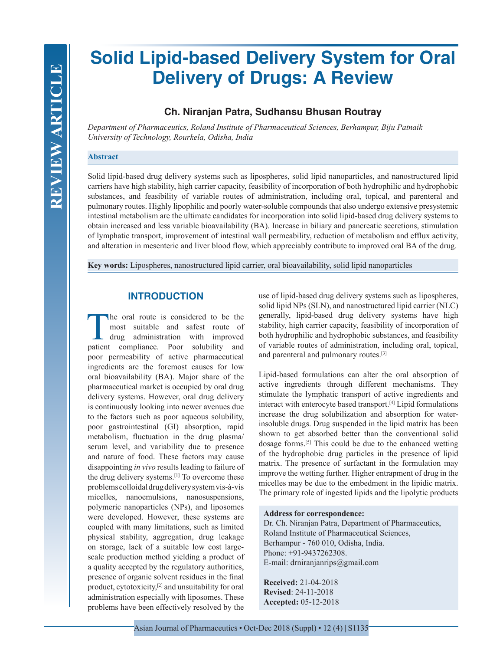# **Solid Lipid-based Delivery System for Oral Delivery of Drugs: A Review**

# **Ch. Niranjan Patra, Sudhansu Bhusan Routray**

*Department of Pharmaceutics, Roland Institute of Pharmaceutical Sciences, Berhampur, Biju Patnaik University of Technology, Rourkela, Odisha, India*

## **Abstract**

Solid lipid-based drug delivery systems such as lipospheres, solid lipid nanoparticles, and nanostructured lipid carriers have high stability, high carrier capacity, feasibility of incorporation of both hydrophilic and hydrophobic substances, and feasibility of variable routes of administration, including oral, topical, and parenteral and pulmonary routes. Highly lipophilic and poorly water-soluble compounds that also undergo extensive presystemic intestinal metabolism are the ultimate candidates for incorporation into solid lipid-based drug delivery systems to obtain increased and less variable bioavailability (BA). Increase in biliary and pancreatic secretions, stimulation of lymphatic transport, improvement of intestinal wall permeability, reduction of metabolism and efflux activity, and alteration in mesenteric and liver blood flow, which appreciably contribute to improved oral BA of the drug.

**Key words:** Lipospheres, nanostructured lipid carrier, oral bioavailability, solid lipid nanoparticles

## **INTRODUCTION**

The oral route is considered to be the most suitable and safest route of drug administration with improved patient compliance. Poor solubility and poor permeability of active pharmaceutical ingredients are the foremost causes for low oral bioavailability (BA). Major share of the pharmaceutical market is occupied by oral drug delivery systems. However, oral drug delivery is continuously looking into newer avenues due to the factors such as poor aqueous solubility, poor gastrointestinal (GI) absorption, rapid metabolism, fluctuation in the drug plasma/ serum level, and variability due to presence and nature of food. These factors may cause disappointing *in vivo* results leading to failure of the drug delivery systems.[1] To overcome these problems colloidal drug delivery system vis-à-vis micelles, nanoemulsions, nanosuspensions, polymeric nanoparticles (NPs), and liposomes were developed. However, these systems are coupled with many limitations, such as limited physical stability, aggregation, drug leakage on storage, lack of a suitable low cost largescale production method yielding a product of a quality accepted by the regulatory authorities, presence of organic solvent residues in the final product, cytotoxicity,[2] and unsuitability for oral administration especially with liposomes. These problems have been effectively resolved by the

use of lipid-based drug delivery systems such as lipospheres, solid lipid NPs (SLN), and nanostructured lipid carrier (NLC) generally, lipid-based drug delivery systems have high stability, high carrier capacity, feasibility of incorporation of both hydrophilic and hydrophobic substances, and feasibility of variable routes of administration, including oral, topical, and parenteral and pulmonary routes.[3]

Lipid-based formulations can alter the oral absorption of active ingredients through different mechanisms. They stimulate the lymphatic transport of active ingredients and interact with enterocyte based transport.[4] Lipid formulations increase the drug solubilization and absorption for waterinsoluble drugs. Drug suspended in the lipid matrix has been shown to get absorbed better than the conventional solid dosage forms.[5] This could be due to the enhanced wetting of the hydrophobic drug particles in the presence of lipid matrix. The presence of surfactant in the formulation may improve the wetting further. Higher entrapment of drug in the micelles may be due to the embedment in the lipidic matrix. The primary role of ingested lipids and the lipolytic products

#### **Address for correspondence:**

Dr. Ch. Niranjan Patra, Department of Pharmaceutics, Roland Institute of Pharmaceutical Sciences, Berhampur - 760 010, Odisha, India. Phone: +91-9437262308. E-mail: drniranjanrips@gmail.com

**Received:** 21-04-2018 **Revised**: 24-11-2018 **Accepted:** 05-12-2018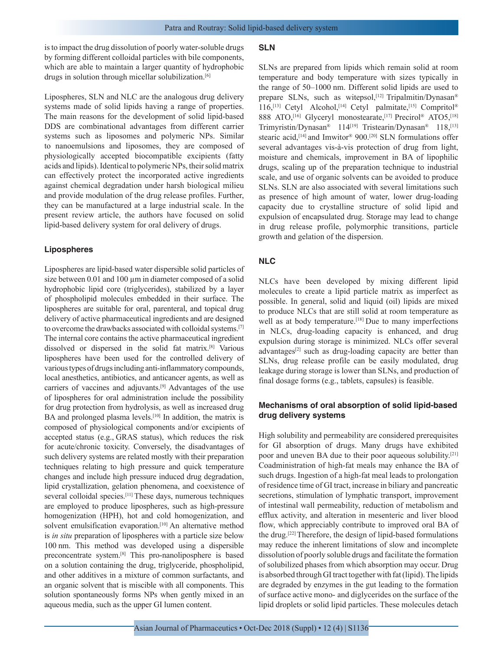is to impact the drug dissolution of poorly water-soluble drugs by forming different colloidal particles with bile components, which are able to maintain a larger quantity of hydrophobic drugs in solution through micellar solubilization.<sup>[6]</sup>

Lipospheres, SLN and NLC are the analogous drug delivery systems made of solid lipids having a range of properties. The main reasons for the development of solid lipid-based DDS are combinational advantages from different carrier systems such as liposomes and polymeric NPs. Similar to nanoemulsions and liposomes, they are composed of physiologically accepted biocompatible excipients (fatty acids and lipids). Identical to polymeric NPs, their solid matrix can effectively protect the incorporated active ingredients against chemical degradation under harsh biological milieu and provide modulation of the drug release profiles. Further, they can be manufactured at a large industrial scale. In the present review article, the authors have focused on solid lipid-based delivery system for oral delivery of drugs.

#### **Lipospheres**

Lipospheres are lipid-based water dispersible solid particles of size between 0.01 and 100  $\mu$ m in diameter composed of a solid hydrophobic lipid core (triglycerides), stabilized by a layer of phospholipid molecules embedded in their surface. The lipospheres are suitable for oral, parenteral, and topical drug delivery of active pharmaceutical ingredients and are designed to overcome the drawbacks associated with colloidal systems.[7] The internal core contains the active pharmaceutical ingredient dissolved or dispersed in the solid fat matrix.[8] Various lipospheres have been used for the controlled delivery of various types of drugs including anti-inflammatory compounds, local anesthetics, antibiotics, and anticancer agents, as well as carriers of vaccines and adjuvants.[9] Advantages of the use of lipospheres for oral administration include the possibility for drug protection from hydrolysis, as well as increased drug BA and prolonged plasma levels.<sup>[10]</sup> In addition, the matrix is composed of physiological components and/or excipients of accepted status (e.g., GRAS status), which reduces the risk for acute/chronic toxicity. Conversely, the disadvantages of such delivery systems are related mostly with their preparation techniques relating to high pressure and quick temperature changes and include high pressure induced drug degradation, lipid crystallization, gelation phenomena, and coexistence of several colloidal species.<sup>[11]</sup> These days, numerous techniques are employed to produce lipospheres, such as high-pressure homogenization (HPH), hot and cold homogenization, and solvent emulsification evaporation.<sup>[10]</sup> An alternative method is *in situ* preparation of lipospheres with a particle size below 100 nm. This method was developed using a dispersible preconcentrate system.[8] This pro-nanoliposphere is based on a solution containing the drug, triglyceride, phospholipid, and other additives in a mixture of common surfactants, and an organic solvent that is miscible with all components. This solution spontaneously forms NPs when gently mixed in an aqueous media, such as the upper GI lumen content.

#### **SLN**

SLNs are prepared from lipids which remain solid at room temperature and body temperature with sizes typically in the range of 50–1000 nm. Different solid lipids are used to prepare SLNs, such as witepsol,<sup>[12]</sup> Tripalmitin/Dynasan® 116,<sup>[13]</sup> Cetyl Alcohol,<sup>[14]</sup> Cetyl palmitate,<sup>[15]</sup> Compritol<sup>®</sup> 888 ATO,<sup>[16]</sup> Glyceryl monostearate,<sup>[17]</sup> Precirol® ATO5,<sup>[18]</sup> Trimyristin/Dynasan<sup>®</sup> 114<sup>[19]</sup> Tristearin/Dynasan<sup>®</sup> 118,<sup>[13]</sup> stearic acid,<sup>[14]</sup> and Imwitor<sup>®</sup> 900.<sup>[20]</sup> SLN formulations offer several advantages vis-à-vis protection of drug from light, moisture and chemicals, improvement in BA of lipophilic drugs, scaling up of the preparation technique to industrial scale, and use of organic solvents can be avoided to produce SLNs. SLN are also associated with several limitations such as presence of high amount of water, lower drug-loading capacity due to crystalline structure of solid lipid and expulsion of encapsulated drug. Storage may lead to change in drug release profile, polymorphic transitions, particle growth and gelation of the dispersion.

## **NLC**

NLCs have been developed by mixing different lipid molecules to create a lipid particle matrix as imperfect as possible. In general, solid and liquid (oil) lipids are mixed to produce NLCs that are still solid at room temperature as well as at body temperature.<sup>[18]</sup> Due to many imperfections in NLCs, drug-loading capacity is enhanced, and drug expulsion during storage is minimized. NLCs offer several advantages $[2]$  such as drug-loading capacity are better than SLNs, drug release profile can be easily modulated, drug leakage during storage is lower than SLNs, and production of final dosage forms (e.g., tablets, capsules) is feasible.

## **Mechanisms of oral absorption of solid lipid-based drug delivery systems**

High solubility and permeability are considered prerequisites for GI absorption of drugs. Many drugs have exhibited poor and uneven BA due to their poor aqueous solubility.[21] Coadministration of high-fat meals may enhance the BA of such drugs. Ingestion of a high-fat meal leads to prolongation of residence time of GI tract, increase in biliary and pancreatic secretions, stimulation of lymphatic transport, improvement of intestinal wall permeability, reduction of metabolism and efflux activity, and alteration in mesenteric and liver blood flow, which appreciably contribute to improved oral BA of the drug.[22] Therefore, the design of lipid-based formulations may reduce the inherent limitations of slow and incomplete dissolution of poorly soluble drugs and facilitate the formation of solubilized phases from which absorption may occur. Drug is absorbed through GI tract together with fat (lipid). The lipids are degraded by enzymes in the gut leading to the formation of surface active mono- and diglycerides on the surface of the lipid droplets or solid lipid particles. These molecules detach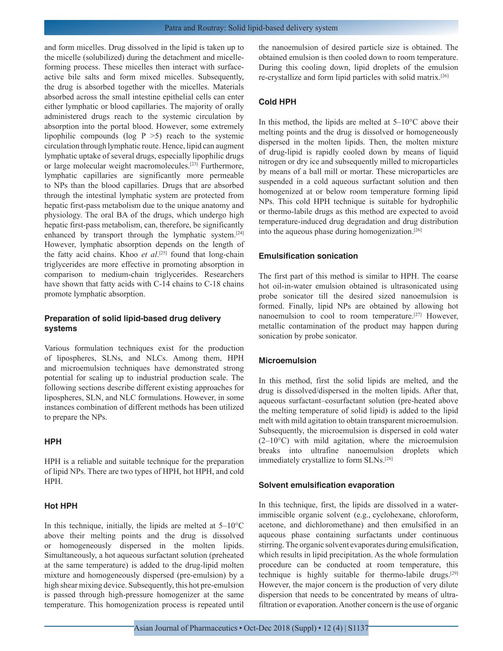and form micelles. Drug dissolved in the lipid is taken up to the micelle (solubilized) during the detachment and micelleforming process. These micelles then interact with surfaceactive bile salts and form mixed micelles. Subsequently, the drug is absorbed together with the micelles. Materials absorbed across the small intestine epithelial cells can enter either lymphatic or blood capillaries. The majority of orally administered drugs reach to the systemic circulation by absorption into the portal blood. However, some extremely lipophilic compounds (log  $P > 5$ ) reach to the systemic circulation through lymphatic route. Hence, lipid can augment lymphatic uptake of several drugs, especially lipophilic drugs or large molecular weight macromolecules.[23] Furthermore, lymphatic capillaries are significantly more permeable to NPs than the blood capillaries. Drugs that are absorbed through the intestinal lymphatic system are protected from hepatic first-pass metabolism due to the unique anatomy and physiology. The oral BA of the drugs, which undergo high hepatic first-pass metabolism, can, therefore, be significantly enhanced by transport through the lymphatic system.[24] However, lymphatic absorption depends on the length of the fatty acid chains. Khoo *et al*. [25] found that long-chain triglycerides are more effective in promoting absorption in comparison to medium-chain triglycerides. Researchers have shown that fatty acids with C-14 chains to C-18 chains promote lymphatic absorption.

## **Preparation of solid lipid-based drug delivery systems**

Various formulation techniques exist for the production of lipospheres, SLNs, and NLCs. Among them, HPH and microemulsion techniques have demonstrated strong potential for scaling up to industrial production scale. The following sections describe different existing approaches for lipospheres, SLN, and NLC formulations. However, in some instances combination of different methods has been utilized to prepare the NPs.

#### **HPH**

HPH is a reliable and suitable technique for the preparation of lipid NPs. There are two types of HPH, hot HPH, and cold HPH.

#### **Hot HPH**

In this technique, initially, the lipids are melted at  $5-10^{\circ}$ C above their melting points and the drug is dissolved or homogeneously dispersed in the molten lipids. Simultaneously, a hot aqueous surfactant solution (preheated at the same temperature) is added to the drug-lipid molten mixture and homogeneously dispersed (pre-emulsion) by a high shear mixing device. Subsequently, this hot pre-emulsion is passed through high-pressure homogenizer at the same temperature. This homogenization process is repeated until the nanoemulsion of desired particle size is obtained. The obtained emulsion is then cooled down to room temperature. During this cooling down, lipid droplets of the emulsion re-crystallize and form lipid particles with solid matrix.[26]

## **Cold HPH**

In this method, the lipids are melted at  $5-10^{\circ}$ C above their melting points and the drug is dissolved or homogeneously dispersed in the molten lipids. Then, the molten mixture of drug-lipid is rapidly cooled down by means of liquid nitrogen or dry ice and subsequently milled to microparticles by means of a ball mill or mortar. These microparticles are suspended in a cold aqueous surfactant solution and then homogenized at or below room temperature forming lipid NPs. This cold HPH technique is suitable for hydrophilic or thermo-labile drugs as this method are expected to avoid temperature-induced drug degradation and drug distribution into the aqueous phase during homogenization.[26]

#### **Emulsification sonication**

The first part of this method is similar to HPH. The coarse hot oil-in-water emulsion obtained is ultrasonicated using probe sonicator till the desired sized nanoemulsion is formed. Finally, lipid NPs are obtained by allowing hot nanoemulsion to cool to room temperature.[27] However, metallic contamination of the product may happen during sonication by probe sonicator.

#### **Microemulsion**

In this method, first the solid lipids are melted, and the drug is dissolved/dispersed in the molten lipids. After that, aqueous surfactant–cosurfactant solution (pre-heated above the melting temperature of solid lipid) is added to the lipid melt with mild agitation to obtain transparent microemulsion. Subsequently, the microemulsion is dispersed in cold water  $(2-10\degree C)$  with mild agitation, where the microemulsion breaks into ultrafine nanoemulsion droplets which immediately crystallize to form SLNs.[28]

#### **Solvent emulsification evaporation**

In this technique, first, the lipids are dissolved in a waterimmiscible organic solvent (e.g., cyclohexane, chloroform, acetone, and dichloromethane) and then emulsified in an aqueous phase containing surfactants under continuous stirring. The organic solvent evaporates during emulsification, which results in lipid precipitation. As the whole formulation procedure can be conducted at room temperature, this technique is highly suitable for thermo-labile drugs.[29] However, the major concern is the production of very dilute dispersion that needs to be concentrated by means of ultrafiltration or evaporation. Another concern is the use of organic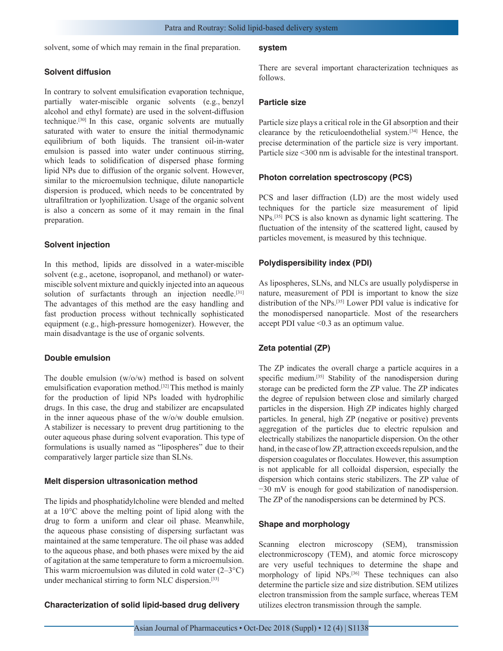solvent, some of which may remain in the final preparation.

## **Solvent diffusion**

In contrary to solvent emulsification evaporation technique, partially water-miscible organic solvents (e.g., benzyl alcohol and ethyl formate) are used in the solvent-diffusion technique.[30] In this case, organic solvents are mutually saturated with water to ensure the initial thermodynamic equilibrium of both liquids. The transient oil-in-water emulsion is passed into water under continuous stirring, which leads to solidification of dispersed phase forming lipid NPs due to diffusion of the organic solvent. However, similar to the microemulsion technique, dilute nanoparticle dispersion is produced, which needs to be concentrated by ultrafiltration or lyophilization. Usage of the organic solvent is also a concern as some of it may remain in the final preparation.

#### **Solvent injection**

In this method, lipids are dissolved in a water-miscible solvent (e.g., acetone, isopropanol, and methanol) or watermiscible solvent mixture and quickly injected into an aqueous solution of surfactants through an injection needle.<sup>[31]</sup> The advantages of this method are the easy handling and fast production process without technically sophisticated equipment (e.g., high-pressure homogenizer). However, the main disadvantage is the use of organic solvents.

#### **Double emulsion**

The double emulsion  $(w/o/w)$  method is based on solvent emulsification evaporation method.<sup>[32]</sup> This method is mainly for the production of lipid NPs loaded with hydrophilic drugs. In this case, the drug and stabilizer are encapsulated in the inner aqueous phase of the w/o/w double emulsion. A stabilizer is necessary to prevent drug partitioning to the outer aqueous phase during solvent evaporation. This type of formulations is usually named as "lipospheres" due to their comparatively larger particle size than SLNs.

#### **Melt dispersion ultrasonication method**

The lipids and phosphatidylcholine were blended and melted at a 10°C above the melting point of lipid along with the drug to form a uniform and clear oil phase. Meanwhile, the aqueous phase consisting of dispersing surfactant was maintained at the same temperature. The oil phase was added to the aqueous phase, and both phases were mixed by the aid of agitation at the same temperature to form a microemulsion. This warm microemulsion was diluted in cold water  $(2-3^{\circ}C)$ under mechanical stirring to form NLC dispersion.[33]

## **Characterization of solid lipid-based drug delivery**

#### **system**

There are several important characterization techniques as follows.

## **Particle size**

Particle size plays a critical role in the GI absorption and their clearance by the reticuloendothelial system.[34] Hence, the precise determination of the particle size is very important. Particle size <300 nm is advisable for the intestinal transport.

#### **Photon correlation spectroscopy (PCS)**

PCS and laser diffraction (LD) are the most widely used techniques for the particle size measurement of lipid NPs.[35] PCS is also known as dynamic light scattering. The fluctuation of the intensity of the scattered light, caused by particles movement, is measured by this technique.

## **Polydispersibility index (PDI)**

As lipospheres, SLNs, and NLCs are usually polydisperse in nature, measurement of PDI is important to know the size distribution of the NPs.[35] Lower PDI value is indicative for the monodispersed nanoparticle. Most of the researchers accept PDI value <0.3 as an optimum value.

## **Zeta potential (ZP)**

The ZP indicates the overall charge a particle acquires in a specific medium.<sup>[35]</sup> Stability of the nanodispersion during storage can be predicted form the ZP value. The ZP indicates the degree of repulsion between close and similarly charged particles in the dispersion. High ZP indicates highly charged particles. In general, high ZP (negative or positive) prevents aggregation of the particles due to electric repulsion and electrically stabilizes the nanoparticle dispersion. On the other hand, in the case of low ZP, attraction exceeds repulsion, and the dispersion coagulates or flocculates. However, this assumption is not applicable for all colloidal dispersion, especially the dispersion which contains steric stabilizers. The ZP value of −30 mV is enough for good stabilization of nanodispersion. The ZP of the nanodispersions can be determined by PCS.

#### **Shape and morphology**

Scanning electron microscopy (SEM), transmission electronmicroscopy (TEM), and atomic force microscopy are very useful techniques to determine the shape and morphology of lipid NPs.<sup>[36]</sup> These techniques can also determine the particle size and size distribution. SEM utilizes electron transmission from the sample surface, whereas TEM utilizes electron transmission through the sample.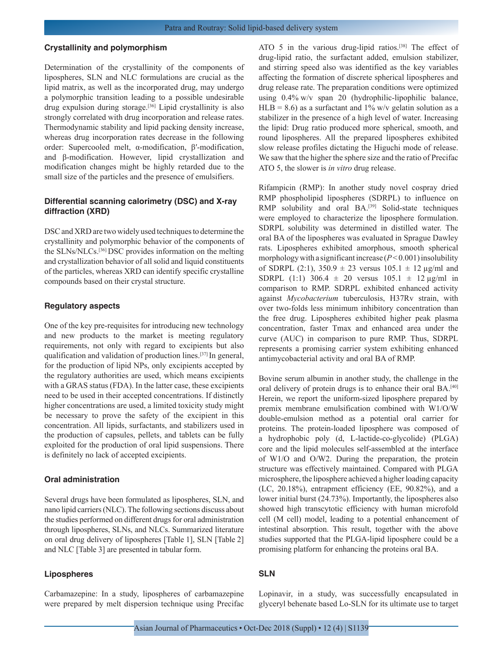#### **Crystallinity and polymorphism**

Determination of the crystallinity of the components of lipospheres, SLN and NLC formulations are crucial as the lipid matrix, as well as the incorporated drug, may undergo a polymorphic transition leading to a possible undesirable drug expulsion during storage.[36] Lipid crystallinity is also strongly correlated with drug incorporation and release rates. Thermodynamic stability and lipid packing density increase, whereas drug incorporation rates decrease in the following order: Supercooled melt, α-modification, β′-modification, and β-modification. However, lipid crystallization and modification changes might be highly retarded due to the small size of the particles and the presence of emulsifiers.

## **Differential scanning calorimetry (DSC) and X-ray diffraction (XRD)**

DSC and XRD are two widely used techniques to determine the crystallinity and polymorphic behavior of the components of the SLNs/NLCs.[36] DSC provides information on the melting and crystallization behavior of all solid and liquid constituents of the particles, whereas XRD can identify specific crystalline compounds based on their crystal structure.

#### **Regulatory aspects**

One of the key pre-requisites for introducing new technology and new products to the market is meeting regulatory requirements, not only with regard to excipients but also qualification and validation of production lines.[37] In general, for the production of lipid NPs, only excipients accepted by the regulatory authorities are used, which means excipients with a GRAS status (FDA). In the latter case, these excipients need to be used in their accepted concentrations. If distinctly higher concentrations are used, a limited toxicity study might be necessary to prove the safety of the excipient in this concentration. All lipids, surfactants, and stabilizers used in the production of capsules, pellets, and tablets can be fully exploited for the production of oral lipid suspensions. There is definitely no lack of accepted excipients.

#### **Oral administration**

Several drugs have been formulated as lipospheres, SLN, and nano lipid carriers (NLC). The following sections discuss about the studies performed on different drugs for oral administration through lipospheres, SLNs, and NLCs. Summarized literature on oral drug delivery of lipospheres [Table 1], SLN [Table 2] and NLC [Table 3] are presented in tabular form.

## **Lipospheres**

Carbamazepine: In a study, lipospheres of carbamazepine were prepared by melt dispersion technique using Precifac ATO 5 in the various drug-lipid ratios.[38] The effect of drug-lipid ratio, the surfactant added, emulsion stabilizer, and stirring speed also was identified as the key variables affecting the formation of discrete spherical lipospheres and drug release rate. The preparation conditions were optimized using 0.4% w/v span 20 (hydrophilic-lipophilic balance,  $HLB = 8.6$ ) as a surfactant and 1% w/v gelatin solution as a stabilizer in the presence of a high level of water. Increasing the lipid: Drug ratio produced more spherical, smooth, and round lipospheres. All the prepared lipospheres exhibited slow release profiles dictating the Higuchi mode of release. We saw that the higher the sphere size and the ratio of Precifac ATO 5, the slower is *in vitro* drug release.

Rifampicin (RMP): In another study novel cospray dried RMP phospholipid lipospheres (SDRPL) to influence on RMP solubility and oral BA.<sup>[39]</sup> Solid-state techniques were employed to characterize the liposphere formulation. SDRPL solubility was determined in distilled water. The oral BA of the lipospheres was evaluated in Sprague Dawley rats. Lipospheres exhibited amorphous, smooth spherical morphology with a significant increase  $(P<0.001)$  insolubility of SDRPL (2:1),  $350.9 \pm 23$  versus  $105.1 \pm 12$  µg/ml and SDRPL (1:1) 306.4  $\pm$  20 versus 105.1  $\pm$  12 µg/ml in comparison to RMP. SDRPL exhibited enhanced activity against *Mycobacterium* tuberculosis, H37Rv strain, with over two-folds less minimum inhibitory concentration than the free drug. Lipospheres exhibited higher peak plasma concentration, faster Tmax and enhanced area under the curve (AUC) in comparison to pure RMP. Thus, SDRPL represents a promising carrier system exhibiting enhanced antimycobacterial activity and oral BA of RMP.

Bovine serum albumin in another study, the challenge in the oral delivery of protein drugs is to enhance their oral BA.<sup>[40]</sup> Herein, we report the uniform-sized liposphere prepared by premix membrane emulsification combined with W1/O/W double-emulsion method as a potential oral carrier for proteins. The protein-loaded liposphere was composed of a hydrophobic poly (d, L-lactide-co-glycolide) (PLGA) core and the lipid molecules self-assembled at the interface of W1/O and O/W2. During the preparation, the protein structure was effectively maintained. Compared with PLGA microsphere, the liposphere achieved a higher loading capacity (LC, 20.18%), entrapment efficiency (EE, 90.82%), and a lower initial burst (24.73%). Importantly, the lipospheres also showed high transcytotic efficiency with human microfold cell (M cell) model, leading to a potential enhancement of intestinal absorption. This result, together with the above studies supported that the PLGA-lipid liposphere could be a promising platform for enhancing the proteins oral BA.

## **SLN**

Lopinavir, in a study, was successfully encapsulated in glyceryl behenate based Lo-SLN for its ultimate use to target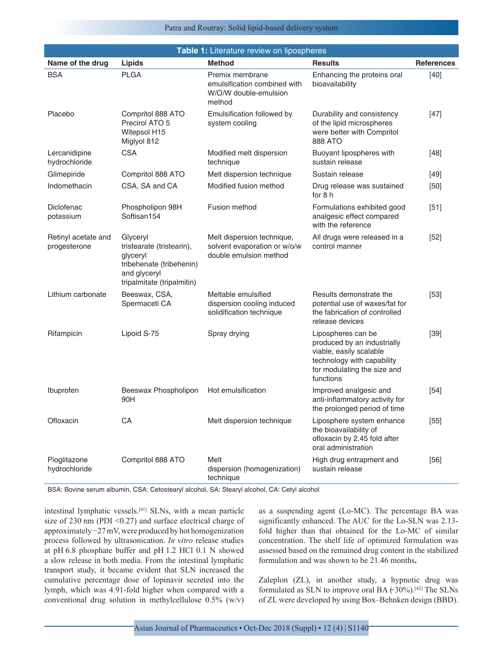#### Patra and Routray: Solid lipid-based delivery system

| Table 1: Literature review on lipospheres |                                                                                                                             |                                                                                      |                                                                                                                                                        |                   |  |
|-------------------------------------------|-----------------------------------------------------------------------------------------------------------------------------|--------------------------------------------------------------------------------------|--------------------------------------------------------------------------------------------------------------------------------------------------------|-------------------|--|
| Name of the drug                          | Lipids                                                                                                                      | <b>Method</b>                                                                        | <b>Results</b>                                                                                                                                         | <b>References</b> |  |
| <b>BSA</b>                                | <b>PLGA</b>                                                                                                                 | Premix membrane<br>emulsification combined with<br>W/O/W double-emulsion<br>method   | Enhancing the proteins oral<br>bioavailability                                                                                                         | $[40]$            |  |
| Placebo                                   | Compritol 888 ATO<br>Precirol ATO 5<br>Witepsol H15<br>Miglyol 812                                                          | Emulsification followed by<br>system cooling                                         | Durability and consistency<br>of the lipid microspheres<br>were better with Compritol<br>888 ATO                                                       | $[47]$            |  |
| Lercanidipine<br>hydrochloride            | <b>CSA</b>                                                                                                                  | Modified melt dispersion<br>technique                                                | Buoyant lipospheres with<br>sustain release                                                                                                            | $[48]$            |  |
| Glimepiride                               | Compritol 888 ATO                                                                                                           | Melt dispersion technique                                                            | Sustain release                                                                                                                                        | $[49]$            |  |
| Indomethacin                              | CSA, SA and CA                                                                                                              | Modified fusion method                                                               | Drug release was sustained<br>for 8 h                                                                                                                  | $[50]$            |  |
| Diclofenac<br>potassium                   | Phospholipon 98H<br>Softisan154                                                                                             | Fusion method                                                                        | Formulations exhibited good<br>analgesic effect compared<br>with the reference                                                                         | $[51]$            |  |
| Retinyl acetate and<br>progesterone       | Glyceryl<br>tristearate (tristearin),<br>glyceryl<br>tribehenate (tribehenin)<br>and glyceryl<br>tripalmitate (tripalmitin) | Melt dispersion technique,<br>solvent evaporation or w/o/w<br>double emulsion method | All drugs were released in a<br>control manner                                                                                                         | $[52]$            |  |
| Lithium carbonate                         | Beeswax, CSA,<br>Spermaceti CA                                                                                              | Meltable emulsified<br>dispersion cooling induced<br>solidification technique        | Results demonstrate the<br>potential use of waxes/fat for<br>the fabrication of controlled<br>release devices                                          | $[53]$            |  |
| Rifampicin                                | Lipoid S-75                                                                                                                 | Spray drying                                                                         | Lipospheres can be<br>produced by an industrially<br>viable, easily scalable<br>technology with capability<br>for modulating the size and<br>functions | $[39]$            |  |
| Ibuprofen                                 | Beeswax Phospholipon<br>90H                                                                                                 | Hot emulsification                                                                   | Improved analgesic and<br>anti-inflammatory activity for<br>the prolonged period of time                                                               | $[54]$            |  |
| Ofloxacin                                 | CA                                                                                                                          | Melt dispersion technique                                                            | Liposphere system enhance<br>the bioavailability of<br>ofloxacin by 2.45 fold after<br>oral administration                                             | $[55]$            |  |
| Pioglitazone<br>hydrochloride             | Compritol 888 ATO                                                                                                           | Melt<br>dispersion (homogenization)<br>technique                                     | High drug entrapment and<br>sustain release                                                                                                            | $[56]$            |  |

BSA: Bovine serum albumin, CSA: Cetostearyl alcohol, SA: Stearyl alcohol, CA: Cetyl alcohol

intestinal lymphatic vessels.[41] SLNs, with a mean particle size of 230 nm (PDI  $\leq 0.27$ ) and surface electrical charge of approximately −27 mV, were produced by hot homogenization process followed by ultrasonication. *In vitro* release studies at pH 6.8 phosphate buffer and pH 1.2 HCl 0.1 N showed a slow release in both media. From the intestinal lymphatic transport study, it became evident that SLN increased the cumulative percentage dose of lopinavir secreted into the lymph, which was 4.91-fold higher when compared with a conventional drug solution in methylcellulose 0.5% (w/v) as a suspending agent (Lo-MC). The percentage BA was significantly enhanced. The AUC for the Lo-SLN was 2.13 fold higher than that obtained for the Lo-MC of similar concentration. The shelf life of optimized formulation was assessed based on the remained drug content in the stabilized formulation and was shown to be 21.46 months**.**

Zaleplon (ZL), in another study, a hypnotic drug was formulated as SLN to improve oral BA  $(30\%)$ .<sup>[42]</sup> The SLNs of ZL were developed by using Box–Behnken design (BBD).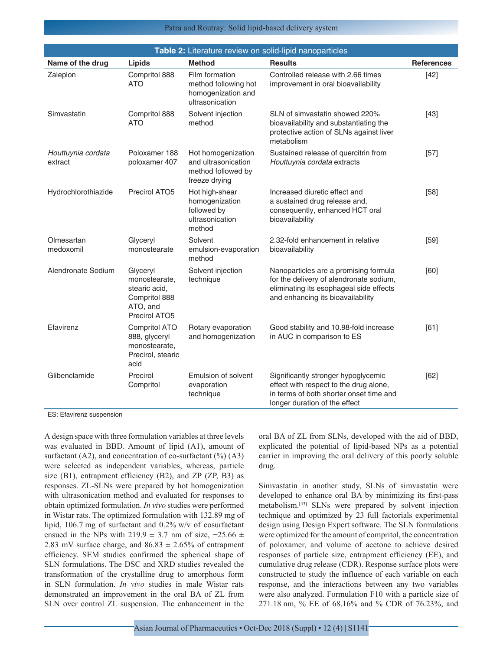| Patra and Routray: Solid lipid-based delivery system |  |  |  |  |
|------------------------------------------------------|--|--|--|--|
|------------------------------------------------------|--|--|--|--|

| Table 2: Literature review on solid-lipid nanoparticles |                                                                                          |                                                                                  |                                                                                                                                                                  |                   |  |
|---------------------------------------------------------|------------------------------------------------------------------------------------------|----------------------------------------------------------------------------------|------------------------------------------------------------------------------------------------------------------------------------------------------------------|-------------------|--|
| Name of the drug                                        | Lipids                                                                                   | <b>Method</b>                                                                    | <b>Results</b>                                                                                                                                                   | <b>References</b> |  |
| Zaleplon                                                | Compritol 888<br><b>ATO</b>                                                              | Film formation<br>method following hot<br>homogenization and<br>ultrasonication  | Controlled release with 2.66 times<br>improvement in oral bioavailability                                                                                        | $[42]$            |  |
| Simvastatin                                             | Compritol 888<br><b>ATO</b>                                                              | Solvent injection<br>method                                                      | SLN of simvastatin showed 220%<br>bioavailability and substantiating the<br>protective action of SLNs against liver<br>metabolism                                | $[43]$            |  |
| Houttuynia cordata<br>extract                           | Poloxamer 188<br>poloxamer 407                                                           | Hot homogenization<br>and ultrasonication<br>method followed by<br>freeze drying | Sustained release of quercitrin from<br>Houttuynia cordata extracts                                                                                              | $[57]$            |  |
| Hydrochlorothiazide                                     | Precirol ATO5                                                                            | Hot high-shear<br>homogenization<br>followed by<br>ultrasonication<br>method     | Increased diuretic effect and<br>a sustained drug release and,<br>consequently, enhanced HCT oral<br>bioavailability                                             | $[58]$            |  |
| Olmesartan<br>medoxomil                                 | Glyceryl<br>monostearate                                                                 | Solvent<br>emulsion-evaporation<br>method                                        | 2.32-fold enhancement in relative<br>bioavailability                                                                                                             | $[59]$            |  |
| Alendronate Sodium                                      | Glyceryl<br>monostearate,<br>stearic acid,<br>Compritol 888<br>ATO, and<br>Precirol ATO5 | Solvent injection<br>technique                                                   | Nanoparticles are a promising formula<br>for the delivery of alendronate sodium,<br>eliminating its esophageal side effects<br>and enhancing its bioavailability | [60]              |  |
| Efavirenz                                               | Compritol ATO<br>888, glyceryl<br>monostearate.<br>Precirol, stearic<br>acid             | Rotary evaporation<br>and homogenization                                         | Good stability and 10.98-fold increase<br>in AUC in comparison to ES                                                                                             | [61]              |  |
| Glibenclamide                                           | Precirol<br>Compritol                                                                    | Emulsion of solvent<br>evaporation<br>technique                                  | Significantly stronger hypoglycemic<br>effect with respect to the drug alone,<br>in terms of both shorter onset time and<br>longer duration of the effect        | [62]              |  |

ES: Efavirenz suspension

A design space with three formulation variables at three levels was evaluated in BBD. Amount of lipid (A1), amount of surfactant  $(A2)$ , and concentration of co-surfactant  $(\%)(A3)$ were selected as independent variables, whereas, particle size (B1), entrapment efficiency (B2), and ZP (ZP, B3) as responses. ZL-SLNs were prepared by hot homogenization with ultrasonication method and evaluated for responses to obtain optimized formulation. *In vivo* studies were performed in Wistar rats. The optimized formulation with 132.89 mg of lipid, 106.7 mg of surfactant and 0.2% w/v of cosurfactant ensued in the NPs with 219.9  $\pm$  3.7 nm of size,  $-25.66 \pm$ 2.83 mV surface charge, and  $86.83 \pm 2.65\%$  of entrapment efficiency. SEM studies confirmed the spherical shape of SLN formulations. The DSC and XRD studies revealed the transformation of the crystalline drug to amorphous form in SLN formulation. *In vivo* studies in male Wistar rats demonstrated an improvement in the oral BA of ZL from SLN over control ZL suspension. The enhancement in the oral BA of ZL from SLNs, developed with the aid of BBD, explicated the potential of lipid-based NPs as a potential carrier in improving the oral delivery of this poorly soluble drug.

Simvastatin in another study, SLNs of simvastatin were developed to enhance oral BA by minimizing its first-pass metabolism.[43] SLNs were prepared by solvent injection technique and optimized by 23 full factorials experimental design using Design Expert software. The SLN formulations were optimized for the amount of compritol, the concentration of poloxamer, and volume of acetone to achieve desired responses of particle size, entrapment efficiency (EE), and cumulative drug release (CDR). Response surface plots were constructed to study the influence of each variable on each response, and the interactions between any two variables were also analyzed. Formulation F10 with a particle size of 271.18 nm, % EE of 68.16% and % CDR of 76.23%, and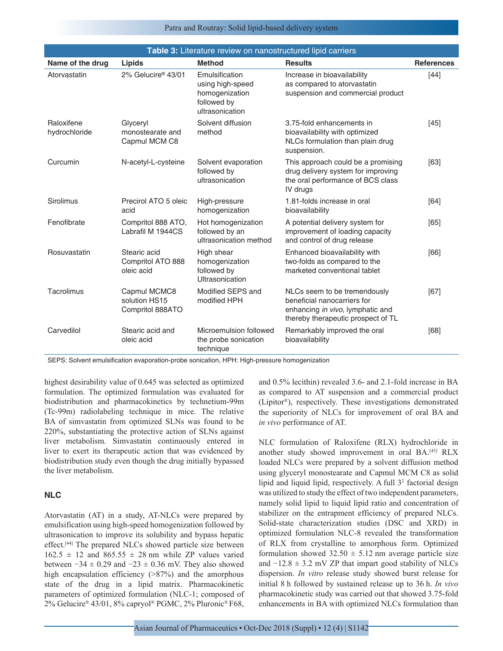#### Patra and Routray: Solid lipid-based delivery system

| Table 3: Literature review on nanostructured lipid carriers |                                                   |                                                                                        |                                                                                                                                       |                   |  |
|-------------------------------------------------------------|---------------------------------------------------|----------------------------------------------------------------------------------------|---------------------------------------------------------------------------------------------------------------------------------------|-------------------|--|
| Name of the drug                                            | Lipids                                            | <b>Method</b>                                                                          | <b>Results</b>                                                                                                                        | <b>References</b> |  |
| Atorvastatin                                                | 2% Gelucire® 43/01                                | Emulsification<br>using high-speed<br>homogenization<br>followed by<br>ultrasonication | Increase in bioavailability<br>as compared to atorvastatin<br>suspension and commercial product                                       | $[44]$            |  |
| Raloxifene<br>hydrochloride                                 | Glyceryl<br>monostearate and<br>Capmul MCM C8     | Solvent diffusion<br>method                                                            | 3.75-fold enhancements in<br>bioavailability with optimized<br>NLCs formulation than plain drug<br>suspension.                        | $[45]$            |  |
| Curcumin                                                    | N-acetyl-L-cysteine                               | Solvent evaporation<br>followed by<br>ultrasonication                                  | This approach could be a promising<br>drug delivery system for improving<br>the oral performance of BCS class<br>IV drugs             | [63]              |  |
| Sirolimus                                                   | Precirol ATO 5 oleic<br>acid                      | High-pressure<br>homogenization                                                        | 1.81-folds increase in oral<br>bioavailability                                                                                        | [64]              |  |
| Fenofibrate                                                 | Compritol 888 ATO,<br>Labrafil M 1944CS           | Hot homogenization<br>followed by an<br>ultrasonication method                         | A potential delivery system for<br>improvement of loading capacity<br>and control of drug release                                     | [65]              |  |
| Rosuvastatin                                                | Stearic acid<br>Compritol ATO 888<br>oleic acid   | High shear<br>homogenization<br>followed by<br>Ultrasonication                         | Enhanced bioavailability with<br>two-folds as compared to the<br>marketed conventional tablet                                         | [66]              |  |
| Tacrolimus                                                  | Capmul MCMC8<br>solution HS15<br>Compritol 888ATO | Modified SEPS and<br>modified HPH                                                      | NLCs seem to be tremendously<br>beneficial nanocarriers for<br>enhancing in vivo, lymphatic and<br>thereby therapeutic prospect of TL | [67]              |  |
| Carvedilol                                                  | Stearic acid and<br>oleic acid                    | Microemulsion followed<br>the probe sonication<br>technique                            | Remarkably improved the oral<br>bioavailability                                                                                       | [68]              |  |

SEPS: Solvent emulsification evaporation-probe sonication, HPH: High-pressure homogenization

highest desirability value of 0.645 was selected as optimized formulation. The optimized formulation was evaluated for biodistribution and pharmacokinetics by technetium-99m (Tc-99m) radiolabeling technique in mice. The relative BA of simvastatin from optimized SLNs was found to be 220%, substantiating the protective action of SLNs against liver metabolism. Simvastatin continuously entered in liver to exert its therapeutic action that was evidenced by biodistribution study even though the drug initially bypassed the liver metabolism.

#### **NLC**

Atorvastatin (AT) in a study, AT-NLCs were prepared by emulsification using high-speed homogenization followed by ultrasonication to improve its solubility and bypass hepatic effect.[44] The prepared NLCs showed particle size between  $162.5 \pm 12$  and  $865.55 \pm 28$  nm while ZP values varied between  $-34 \pm 0.29$  and  $-23 \pm 0.36$  mV. They also showed high encapsulation efficiency (>87%) and the amorphous state of the drug in a lipid matrix. Pharmacokinetic parameters of optimized formulation (NLC-1; composed of 2% Gelucire® 43/01, 8% capryol® PGMC, 2% Pluronic® F68, and 0.5% lecithin) revealed 3.6- and 2.1-fold increase in BA as compared to AT suspension and a commercial product (Lipitor®), respectively. These investigations demonstrated the superiority of NLCs for improvement of oral BA and *in vivo* performance of AT.

NLC formulation of Raloxifene (RLX) hydrochloride in another study showed improvement in oral BA.<sup>[45]</sup> RLX loaded NLCs were prepared by a solvent diffusion method using glyceryl monostearate and Capmul MCM C8 as solid lipid and liquid lipid, respectively. A full 3<sup>2</sup> factorial design was utilized to study the effect of two independent parameters, namely solid lipid to liquid lipid ratio and concentration of stabilizer on the entrapment efficiency of prepared NLCs. Solid-state characterization studies (DSC and XRD) in optimized formulation NLC-8 revealed the transformation of RLX from crystalline to amorphous form. Optimized formulation showed  $32.50 \pm 5.12$  nm average particle size and  $-12.8 \pm 3.2$  mV ZP that impart good stability of NLCs dispersion. *In vitro* release study showed burst release for initial 8 h followed by sustained release up to 36 h. *In vivo* pharmacokinetic study was carried out that showed 3.75-fold enhancements in BA with optimized NLCs formulation than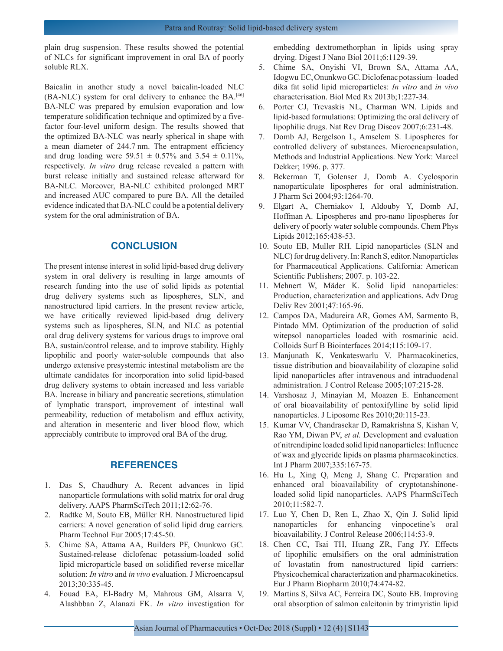plain drug suspension. These results showed the potential of NLCs for significant improvement in oral BA of poorly soluble RLX.

Baicalin in another study a novel baicalin-loaded NLC (BA-NLC) system for oral delivery to enhance the BA.[46] BA-NLC was prepared by emulsion evaporation and low temperature solidification technique and optimized by a fivefactor four-level uniform design. The results showed that the optimized BA-NLC was nearly spherical in shape with a mean diameter of 244.7 nm. The entrapment efficiency and drug loading were  $59.51 \pm 0.57\%$  and  $3.54 \pm 0.11\%$ , respectively. *In vitro* drug release revealed a pattern with burst release initially and sustained release afterward for BA-NLC. Moreover, BA-NLC exhibited prolonged MRT and increased AUC compared to pure BA. All the detailed evidence indicated that BA-NLC could be a potential delivery system for the oral administration of BA.

## **CONCLUSION**

The present intense interest in solid lipid-based drug delivery system in oral delivery is resulting in large amounts of research funding into the use of solid lipids as potential drug delivery systems such as lipospheres, SLN, and nanostructured lipid carriers. In the present review article, we have critically reviewed lipid-based drug delivery systems such as lipospheres, SLN, and NLC as potential oral drug delivery systems for various drugs to improve oral BA, sustain/control release, and to improve stability. Highly lipophilic and poorly water-soluble compounds that also undergo extensive presystemic intestinal metabolism are the ultimate candidates for incorporation into solid lipid-based drug delivery systems to obtain increased and less variable BA. Increase in biliary and pancreatic secretions, stimulation of lymphatic transport, improvement of intestinal wall permeability, reduction of metabolism and efflux activity, and alteration in mesenteric and liver blood flow, which appreciably contribute to improved oral BA of the drug.

## **REFERENCES**

- 1. Das S, Chaudhury A. Recent advances in lipid nanoparticle formulations with solid matrix for oral drug delivery. AAPS PharmSciTech 2011;12:62-76.
- 2. Radtke M, Souto EB, Müller RH. Nanostructured lipid carriers: A novel generation of solid lipid drug carriers. Pharm Technol Eur 2005;17:45-50.
- 3. Chime SA, Attama AA, Builders PF, Onunkwo GC. Sustained-release diclofenac potassium-loaded solid lipid microparticle based on solidified reverse micellar solution: *In vitro* and *in vivo* evaluation. J Microencapsul 2013;30:335-45.
- 4. Fouad EA, El-Badry M, Mahrous GM, Alsarra V, Alashbban Z, Alanazi FK. *In vitro* investigation for

embedding dextromethorphan in lipids using spray drying. Digest J Nano Biol 2011;6:1129-39.

- 5. Chime SA, Onyishi VI, Brown SA, Attama AA, Idogwu EC, Onunkwo GC. Diclofenac potassium–loaded dika fat solid lipid microparticles: *In vitro* and *in vivo* characterisation. Biol Med Rx 2013b;1:227-34.
- 6. Porter CJ, Trevaskis NL, Charman WN. Lipids and lipid-based formulations: Optimizing the oral delivery of lipophilic drugs. Nat Rev Drug Discov 2007;6:231-48.
- 7. Domb AJ, Bergelson L, Amselem S. Lipospheres for controlled delivery of substances. Microencapsulation, Methods and Industrial Applications. New York: Marcel Dekker; 1996. p. 377.
- 8. Bekerman T, Golenser J, Domb A. Cyclosporin nanoparticulate lipospheres for oral administration. J Pharm Sci 2004;93:1264-70.
- 9. Elgart A, Cherniakov I, Aldouby Y, Domb AJ, Hoffman A. Lipospheres and pro-nano lipospheres for delivery of poorly water soluble compounds. Chem Phys Lipids 2012;165:438-53.
- 10. Souto EB, Muller RH. Lipid nanoparticles (SLN and NLC) for drug delivery. In: Ranch S, editor. Nanoparticles for Pharmaceutical Applications. California: American Scientific Publishers; 2007. p. 103-22.
- 11. Mehnert W, Mäder K. Solid lipid nanoparticles: Production, characterization and applications. Adv Drug Deliv Rev 2001;47:165-96.
- 12. Campos DA, Madureira AR, Gomes AM, Sarmento B, Pintado MM. Optimization of the production of solid witepsol nanoparticles loaded with rosmarinic acid. Colloids Surf B Biointerfaces 2014;115:109-17.
- 13. Manjunath K, Venkateswarlu V. Pharmacokinetics, tissue distribution and bioavailability of clozapine solid lipid nanoparticles after intravenous and intraduodenal administration. J Control Release 2005;107:215-28.
- 14. Varshosaz J, Minayian M, Moazen E. Enhancement of oral bioavailability of pentoxifylline by solid lipid nanoparticles. J Liposome Res 2010;20:115-23.
- 15. Kumar VV, Chandrasekar D, Ramakrishna S, Kishan V, Rao YM, Diwan PV, *et al.* Development and evaluation of nitrendipine loaded solid lipid nanoparticles: Influence of wax and glyceride lipids on plasma pharmacokinetics. Int J Pharm 2007;335:167-75.
- 16. Hu L, Xing Q, Meng J, Shang C. Preparation and enhanced oral bioavailability of cryptotanshinoneloaded solid lipid nanoparticles. AAPS PharmSciTech 2010;11:582-7.
- 17. Luo Y, Chen D, Ren L, Zhao X, Qin J. Solid lipid nanoparticles for enhancing vinpocetine's oral bioavailability. J Control Release 2006;114:53-9.
- 18. Chen CC, Tsai TH, Huang ZR, Fang JY. Effects of lipophilic emulsifiers on the oral administration of lovastatin from nanostructured lipid carriers: Physicochemical characterization and pharmacokinetics. Eur J Pharm Biopharm 2010;74:474-82.
- 19. Martins S, Silva AC, Ferreira DC, Souto EB. Improving oral absorption of salmon calcitonin by trimyristin lipid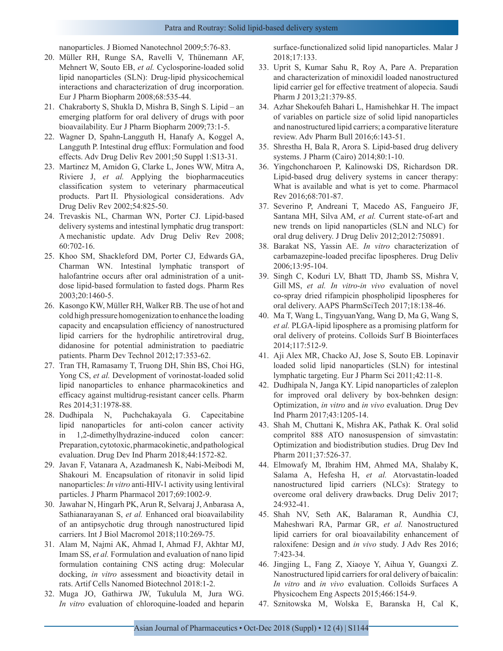nanoparticles. J Biomed Nanotechnol 2009;5:76-83.

- 20. Müller RH, Runge SA, Ravelli V, Thünemann AF, Mehnert W, Souto EB, *et al.* Cyclosporine-loaded solid lipid nanoparticles (SLN): Drug-lipid physicochemical interactions and characterization of drug incorporation. Eur J Pharm Biopharm 2008;68:535-44.
- 21. Chakraborty S, Shukla D, Mishra B, Singh S. Lipid an emerging platform for oral delivery of drugs with poor bioavailability. Eur J Pharm Biopharm 2009;73:1-5.
- 22. Wagner D, Spahn-Langguth H, Hanafy A, Koggel A, Langguth P. Intestinal drug efflux: Formulation and food effects. Adv Drug Deliv Rev 2001;50 Suppl 1:S13-31.
- 23. Martinez M, Amidon G, Clarke L, Jones WW, Mitra A, Riviere J, *et al.* Applying the biopharmaceutics classification system to veterinary pharmaceutical products. Part II. Physiological considerations. Adv Drug Deliv Rev 2002;54:825-50.
- 24. Trevaskis NL, Charman WN, Porter CJ. Lipid-based delivery systems and intestinal lymphatic drug transport: A mechanistic update. Adv Drug Deliv Rev 2008; 60:702-16.
- 25. Khoo SM, Shackleford DM, Porter CJ, Edwards GA, Charman WN. Intestinal lymphatic transport of halofantrine occurs after oral administration of a unitdose lipid-based formulation to fasted dogs. Pharm Res 2003;20:1460-5.
- 26. Kasongo KW, Müller RH, Walker RB. The use of hot and cold high pressure homogenization to enhance the loading capacity and encapsulation efficiency of nanostructured lipid carriers for the hydrophilic antiretroviral drug, didanosine for potential administration to paediatric patients. Pharm Dev Technol 2012;17:353-62.
- 27. Tran TH, Ramasamy T, Truong DH, Shin BS, Choi HG, Yong CS, *et al.* Development of vorinostat-loaded solid lipid nanoparticles to enhance pharmacokinetics and efficacy against multidrug-resistant cancer cells. Pharm Res 2014;31:1978-88.
- 28. Dudhipala N, Puchchakayala G. Capecitabine lipid nanoparticles for anti-colon cancer activity in 1,2-dimethylhydrazine-induced colon cancer: Preparation, cytotoxic, pharmacokinetic, and pathological evaluation. Drug Dev Ind Pharm 2018;44:1572-82.
- 29. Javan F, Vatanara A, Azadmanesh K, Nabi-Meibodi M, Shakouri M. Encapsulation of ritonavir in solid lipid nanoparticles: *In vitro* anti-HIV-1 activity using lentiviral particles. J Pharm Pharmacol 2017;69:1002-9.
- 30. Jawahar N, Hingarh PK, Arun R, Selvaraj J, Anbarasa A, Sathianarayanan S, *et al.* Enhanced oral bioavailability of an antipsychotic drug through nanostructured lipid carriers. Int J Biol Macromol 2018;110:269-75.
- 31. Alam M, Najmi AK, Ahmad I, Ahmad FJ, Akhtar MJ, Imam SS, *et al.* Formulation and evaluation of nano lipid formulation containing CNS acting drug: Molecular docking, *in vitro* assessment and bioactivity detail in rats. Artif Cells Nanomed Biotechnol 2018:1-2.
- 32. Muga JO, Gathirwa JW, Tukulula M, Jura WG. *In vitro* evaluation of chloroquine-loaded and heparin

surface-functionalized solid lipid nanoparticles. Malar J 2018;17:133.

- 33. Uprit S, Kumar Sahu R, Roy A, Pare A. Preparation and characterization of minoxidil loaded nanostructured lipid carrier gel for effective treatment of alopecia. Saudi Pharm J 2013;21:379-85.
- 34. Azhar Shekoufeh Bahari L, Hamishehkar H. The impact of variables on particle size of solid lipid nanoparticles and nanostructured lipid carriers; a comparative literature review. Adv Pharm Bull 2016;6:143-51.
- 35. Shrestha H, Bala R, Arora S. Lipid-based drug delivery systems. J Pharm (Cairo) 2014;80:1-10.
- 36. Yingchoncharoen P, Kalinowski DS, Richardson DR. Lipid-based drug delivery systems in cancer therapy: What is available and what is yet to come. Pharmacol Rev 2016;68:701-87.
- 37. Severino P, Andreani T, Macedo AS, Fangueiro JF, Santana MH, Silva AM, *et al.* Current state-of-art and new trends on lipid nanoparticles (SLN and NLC) for oral drug delivery. J Drug Deliv 2012;2012:750891.
- 38. Barakat NS, Yassin AE. *In vitro* characterization of carbamazepine-loaded precifac lipospheres. Drug Deliv 2006;13:95-104.
- 39. Singh C, Koduri LV, Bhatt TD, Jhamb SS, Mishra V, Gill MS, *et al. In vitro*-*in vivo* evaluation of novel co-spray dried rifampicin phospholipid lipospheres for oral delivery. AAPS PharmSciTech 2017;18:138-46.
- 40. Ma T, Wang L, TingyuanYang, Wang D, Ma G, Wang S, *et al.* PLGA-lipid liposphere as a promising platform for oral delivery of proteins. Colloids Surf B Biointerfaces 2014;117:512-9.
- 41. Aji Alex MR, Chacko AJ, Jose S, Souto EB. Lopinavir loaded solid lipid nanoparticles (SLN) for intestinal lymphatic targeting. Eur J Pharm Sci 2011;42:11-8.
- 42. Dudhipala N, Janga KY. Lipid nanoparticles of zaleplon for improved oral delivery by box-behnken design: Optimization, *in vitro* and *in vivo* evaluation. Drug Dev Ind Pharm 2017;43:1205-14.
- 43. Shah M, Chuttani K, Mishra AK, Pathak K. Oral solid compritol 888 ATO nanosuspension of simvastatin: Optimization and biodistribution studies. Drug Dev Ind Pharm 2011;37:526-37.
- 44. Elmowafy M, Ibrahim HM, Ahmed MA, Shalaby K, Salama A, Hefesha H, *et al.* Atorvastatin-loaded nanostructured lipid carriers (NLCs): Strategy to overcome oral delivery drawbacks. Drug Deliv 2017; 24:932-41.
- 45. Shah NV, Seth AK, Balaraman R, Aundhia CJ, Maheshwari RA, Parmar GR, *et al.* Nanostructured lipid carriers for oral bioavailability enhancement of raloxifene: Design and *in vivo* study. J Adv Res 2016; 7:423-34.
- 46. Jingjing L, Fang Z, Xiaoye Y, Aihua Y, Guangxi Z. Nanostructured lipid carriers for oral delivery of baicalin: *In vitro* and *in vivo* evaluation. Colloids Surfaces A Physicochem Eng Aspects 2015;466:154-9.
- 47. Sznitowska M, Wolska E, Baranska H, Cal K,